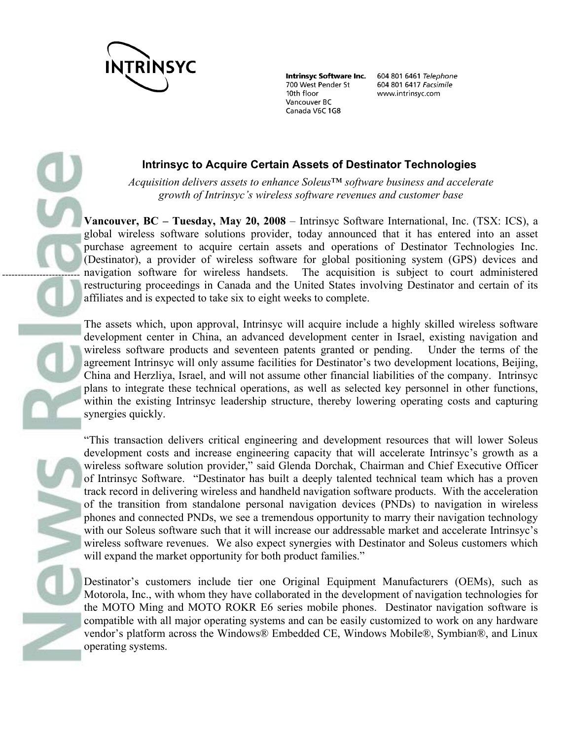

-------------------------

**Intrinsyc Software Inc.** 700 West Pender St 10th floor Vancouver BC Canada V6C 1G8

604 801 6461 Telephone 604 801 6417 Facsimile www.intrinsyc.com

# **Intrinsyc to Acquire Certain Assets of Destinator Technologies**

*Acquisition delivers assets to enhance Soleus*™ *software business and accelerate growth of Intrinsyc's wireless software revenues and customer base*

**Vancouver, BC – Tuesday, May 20, 2008** – Intrinsyc Software International, Inc. (TSX: ICS), a global wireless software solutions provider, today announced that it has entered into an asset purchase agreement to acquire certain assets and operations of Destinator Technologies Inc. (Destinator), a provider of wireless software for global positioning system (GPS) devices and navigation software for wireless handsets. The acquisition is subject to court administered restructuring proceedings in Canada and the United States involving Destinator and certain of its affiliates and is expected to take six to eight weeks to complete.

The assets which, upon approval, Intrinsyc will acquire include a highly skilled wireless software development center in China, an advanced development center in Israel, existing navigation and wireless software products and seventeen patents granted or pending. Under the terms of the agreement Intrinsyc will only assume facilities for Destinator's two development locations, Beijing, China and Herzliya, Israel, and will not assume other financial liabilities of the company. Intrinsyc plans to integrate these technical operations, as well as selected key personnel in other functions, within the existing Intrinsyc leadership structure, thereby lowering operating costs and capturing synergies quickly.

"This transaction delivers critical engineering and development resources that will lower Soleus development costs and increase engineering capacity that will accelerate Intrinsyc's growth as a wireless software solution provider," said Glenda Dorchak, Chairman and Chief Executive Officer of Intrinsyc Software. "Destinator has built a deeply talented technical team which has a proven track record in delivering wireless and handheld navigation software products. With the acceleration of the transition from standalone personal navigation devices (PNDs) to navigation in wireless phones and connected PNDs, we see a tremendous opportunity to marry their navigation technology with our Soleus software such that it will increase our addressable market and accelerate Intrinsyc's wireless software revenues. We also expect synergies with Destinator and Soleus customers which will expand the market opportunity for both product families."

Destinator's customers include tier one Original Equipment Manufacturers (OEMs), such as Motorola, Inc., with whom they have collaborated in the development of navigation technologies for the MOTO Ming and MOTO ROKR E6 series mobile phones. Destinator navigation software is compatible with all major operating systems and can be easily customized to work on any hardware vendor's platform across the Windows® Embedded CE, Windows Mobile®, Symbian®, and Linux operating systems.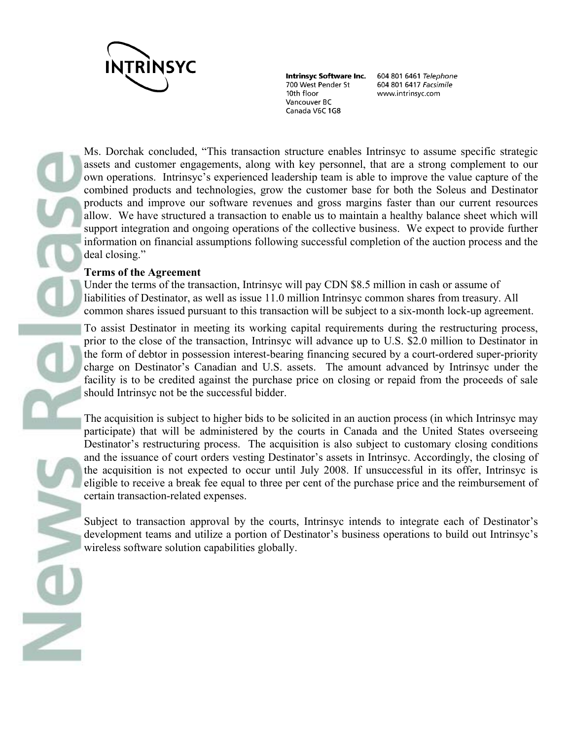

**Intrinsyc Software Inc.** 700 West Pender St 10th floor Vancouver BC Canada V6C 1G8

604 801 6461 Telephone 604 801 6417 Facsimile www.intrinsyc.com

Ms. Dorchak concluded, "This transaction structure enables Intrinsyc to assume specific strategic assets and customer engagements, along with key personnel, that are a strong complement to our own operations. Intrinsyc's experienced leadership team is able to improve the value capture of the combined products and technologies, grow the customer base for both the Soleus and Destinator products and improve our software revenues and gross margins faster than our current resources allow. We have structured a transaction to enable us to maintain a healthy balance sheet which will support integration and ongoing operations of the collective business. We expect to provide further information on financial assumptions following successful completion of the auction process and the deal closing."

## **Terms of the Agreement**

Under the terms of the transaction, Intrinsyc will pay CDN \$8.5 million in cash or assume of liabilities of Destinator, as well as issue 11.0 million Intrinsyc common shares from treasury. All common shares issued pursuant to this transaction will be subject to a six-month lock-up agreement.

To assist Destinator in meeting its working capital requirements during the restructuring process, prior to the close of the transaction, Intrinsyc will advance up to U.S. \$2.0 million to Destinator in the form of debtor in possession interest-bearing financing secured by a court-ordered super-priority charge on Destinator's Canadian and U.S. assets. The amount advanced by Intrinsyc under the facility is to be credited against the purchase price on closing or repaid from the proceeds of sale should Intrinsyc not be the successful bidder.

The acquisition is subject to higher bids to be solicited in an auction process (in which Intrinsyc may participate) that will be administered by the courts in Canada and the United States overseeing Destinator's restructuring process. The acquisition is also subject to customary closing conditions and the issuance of court orders vesting Destinator's assets in Intrinsyc. Accordingly, the closing of the acquisition is not expected to occur until July 2008. If unsuccessful in its offer, Intrinsyc is eligible to receive a break fee equal to three per cent of the purchase price and the reimbursement of certain transaction-related expenses.

Subject to transaction approval by the courts, Intrinsyc intends to integrate each of Destinator's development teams and utilize a portion of Destinator's business operations to build out Intrinsyc's wireless software solution capabilities globally.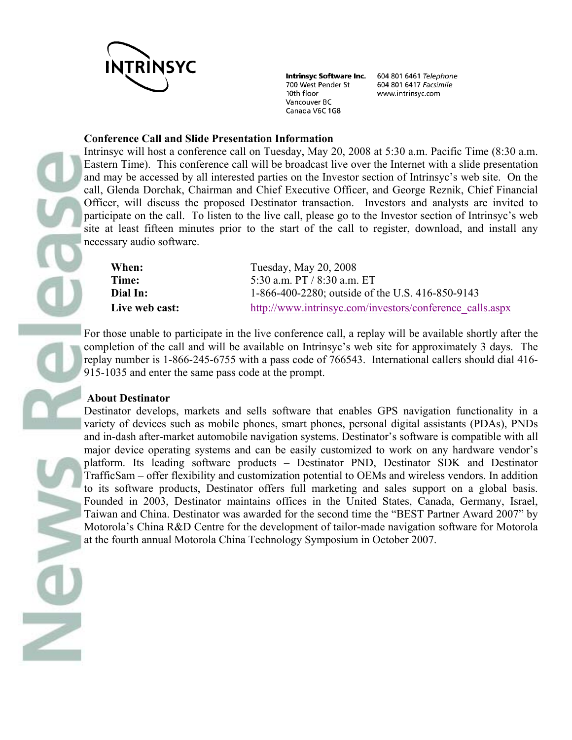

**Intrinsyc Software Inc.** 700 West Pender St 10th floor Vancouver BC Canada V6C 1G8

604 801 6461 Telephone 604 801 6417 Facsimile www.intrinsyc.com

### **Conference Call and Slide Presentation Information**

Intrinsyc will host a conference call on Tuesday, May 20, 2008 at 5:30 a.m. Pacific Time (8:30 a.m. Eastern Time). This conference call will be broadcast live over the Internet with a slide presentation and may be accessed by all interested parties on the Investor section of Intrinsyc's web site. On the call, Glenda Dorchak, Chairman and Chief Executive Officer, and George Reznik, Chief Financial Officer, will discuss the proposed Destinator transaction. Investors and analysts are invited to participate on the call. To listen to the live call, please go to the Investor section of Intrinsyc's web site at least fifteen minutes prior to the start of the call to register, download, and install any necessary audio software.

| When:          | Tuesday, May 20, 2008                                    |
|----------------|----------------------------------------------------------|
| Time:          | 5:30 a.m. PT $/$ 8:30 a.m. ET                            |
| Dial In:       | 1-866-400-2280; outside of the U.S. 416-850-9143         |
| Live web cast: | http://www.intrinsyc.com/investors/conference calls.aspx |

For those unable to participate in the live conference call, a replay will be available shortly after the completion of the call and will be available on Intrinsyc's web site for approximately 3 days. The replay number is 1-866-245-6755 with a pass code of 766543. International callers should dial 416- 915-1035 and enter the same pass code at the prompt.

### **About Destinator**

Destinator develops, markets and sells software that enables GPS navigation functionality in a variety of devices such as mobile phones, smart phones, personal digital assistants (PDAs), PNDs and in-dash after-market automobile navigation systems. Destinator's software is compatible with all major device operating systems and can be easily customized to work on any hardware vendor's platform. Its leading software products – Destinator PND, Destinator SDK and Destinator TrafficSam – offer flexibility and customization potential to OEMs and wireless vendors. In addition to its software products, Destinator offers full marketing and sales support on a global basis. Founded in 2003, Destinator maintains offices in the United States, Canada, Germany, Israel, Taiwan and China. Destinator was awarded for the second time the "BEST Partner Award 2007" by Motorola's China R&D Centre for the development of tailor-made navigation software for Motorola at the fourth annual Motorola China Technology Symposium in October 2007.